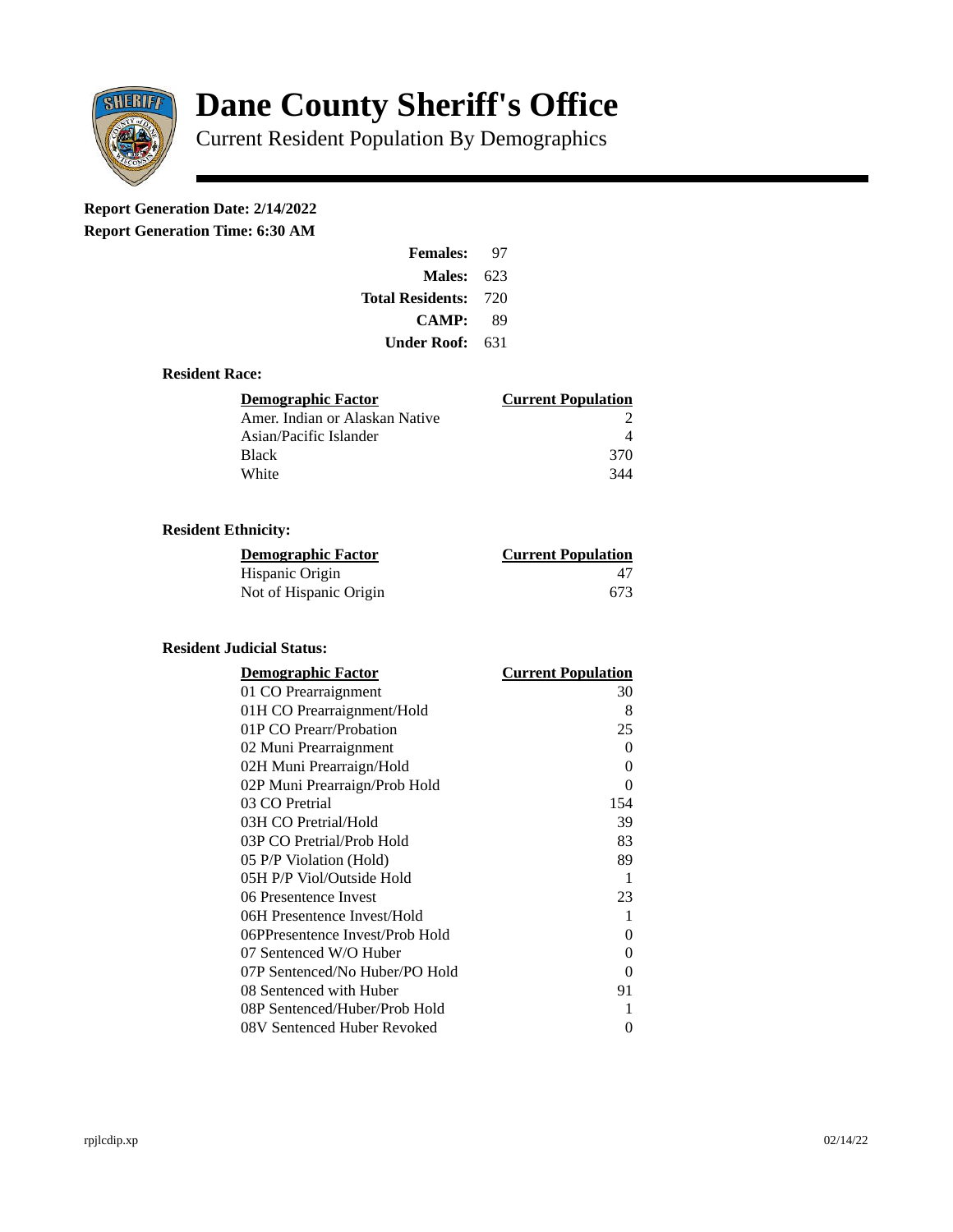

# **Dane County Sheriff's Office**

Current Resident Population By Demographics

# **Report Generation Date: 2/14/2022**

**Report Generation Time: 6:30 AM** 

| <b>Females:</b>         | 97   |
|-------------------------|------|
| Males:                  | 623  |
| <b>Total Residents:</b> | -720 |
| <b>CAMP:</b>            | 89   |
| Under Roof:             | 631  |

### **Resident Race:**

| Demographic Factor             | <b>Current Population</b> |
|--------------------------------|---------------------------|
| Amer. Indian or Alaskan Native |                           |
| Asian/Pacific Islander         |                           |
| Black                          | 370                       |
| White                          | 344                       |

# **Resident Ethnicity:**

| <u>Demographic Factor</u> | <b>Current Population</b> |
|---------------------------|---------------------------|
| Hispanic Origin           | 47                        |
| Not of Hispanic Origin    | 673                       |

#### **Resident Judicial Status:**

| <b>Demographic Factor</b>       | <b>Current Population</b> |
|---------------------------------|---------------------------|
| 01 CO Prearraignment            | 30                        |
| 01H CO Prearraignment/Hold      | 8                         |
| 01P CO Prearr/Probation         | 25                        |
| 02 Muni Prearraignment          | 0                         |
| 02H Muni Prearraign/Hold        | 0                         |
| 02P Muni Prearraign/Prob Hold   | 0                         |
| 03 CO Pretrial                  | 154                       |
| 03H CO Pretrial/Hold            | 39                        |
| 03P CO Pretrial/Prob Hold       | 83                        |
| 05 P/P Violation (Hold)         | 89                        |
| 05H P/P Viol/Outside Hold       | $\mathbf{1}$              |
| 06 Presentence Invest           | 23                        |
| 06H Presentence Invest/Hold     | $\mathbf{1}$              |
| 06PPresentence Invest/Prob Hold | 0                         |
| 07 Sentenced W/O Huber          | 0                         |
| 07P Sentenced/No Huber/PO Hold  | 0                         |
| 08 Sentenced with Huber         | 91                        |
| 08P Sentenced/Huber/Prob Hold   | 1                         |
| 08V Sentenced Huber Revoked     | 0                         |